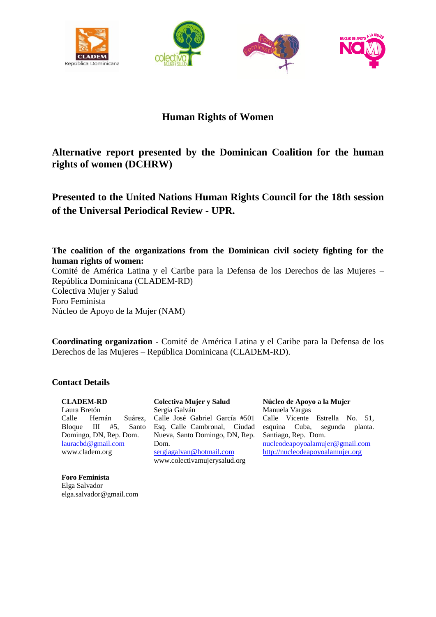





# **Human Rights of Women**

# **Alternative report presented by the Dominican Coalition for the human rights of women (DCHRW)**

# **Presented to the United Nations Human Rights Council for the 18th session of the Universal Periodical Review - UPR.**

### **The coalition of the organizations from the Dominican civil society fighting for the human rights of women:**

Comité de América Latina y el Caribe para la Defensa de los Derechos de las Mujeres – República Dominicana (CLADEM-RD) Colectiva Mujer y Salud Foro Feminista Núcleo de Apoyo de la Mujer (NAM)

**Coordinating organization** - Comité de América Latina y el Caribe para la Defensa de los Derechos de las Mujeres – República Dominicana (CLADEM-RD).

#### **Contact Details**

**CLADEM-RD** Laura Bretón Calle Hernán Suárez, Bloque III #5, Santo Domingo, DN, Rep. Dom. [lauracbd@gmail.com](mailto:lauracbd@gmail.com) www.cladem.org

**Foro Feminista** Elga Salvador elga.salvador@gmail.com

**Colectiva Mujer y Salud**  Sergia Galván Calle José Gabriel García #501 Esq. Calle Cambronal, Ciudad Nueva, Santo Domingo, DN, Rep. Dom. [sergiagalvan@hotmail.com](mailto:sergiagalvan@hotmail.com) www.colectivamujerysalud.org

**Núcleo de Apoyo a la Mujer**  Manuela Vargas Calle Vicente Estrella No. 51, esquina Cuba, segunda planta. Santiago, Rep. Dom. [nucleodeapoyoalamujer@gmail.com](mailto:nucleodeapoyoalamujer@gmail.com) [http://nucleodeapoyoalamujer.org](http://nucleodeapoyoalamujer.org/)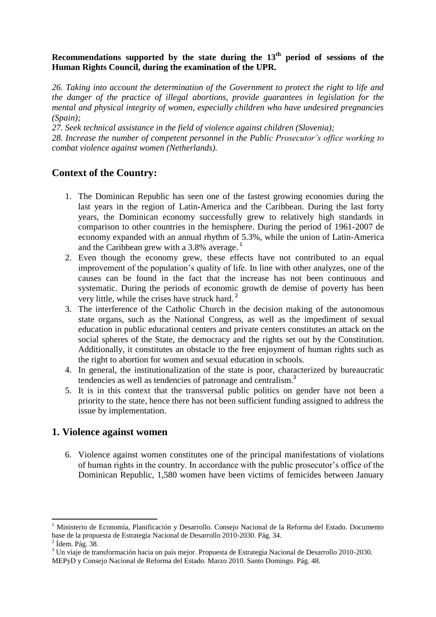### **Recommendations supported by the state during the 13th period of sessions of the Human Rights Council, during the examination of the UPR.**

*26. Taking into account the determination of the Government to protect the right to life and the danger of the practice of illegal abortions, provide guarantees in legislation for the mental and physical integrity of women, especially children who have undesired pregnancies (Spain);*

*27. Seek technical assistance in the field of violence against children (Slovenia);*

*28. Increase the number of competent personnel in the Public Prosecutor's office working to combat violence against women (Netherlands).*

# **Context of the Country:**

- 1. The Dominican Republic has seen one of the fastest growing economies during the last years in the region of Latin-America and the Caribbean. During the last forty years, the Dominican economy successfully grew to relatively high standards in comparison to other countries in the hemisphere. During the period of 1961-2007 de economy expanded with an annual rhythm of 5.3%, while the union of Latin-America and the Caribbean grew with a 3.8% average.<sup>1</sup>
- 2. Even though the economy grew, these effects have not contributed to an equal improvement of the population's quality of life. In line with other analyzes, one of the causes can be found in the fact that the increase has not been continuous and systematic. During the periods of economic growth de demise of poverty has been very little, while the crises have struck hard.<sup>2</sup>
- 3. The interference of the Catholic Church in the decision making of the autonomous state organs, such as the National Congress, as well as the impediment of sexual education in public educational centers and private centers constitutes an attack on the social spheres of the State, the democracy and the rights set out by the Constitution. Additionally, it constitutes an obstacle to the free enjoyment of human rights such as the right to abortion for women and sexual education in schools.
- 4. In general, the institutionalization of the state is poor, characterized by bureaucratic tendencies as well as tendencies of patronage and centralism.<sup>3</sup>
- 5. It is in this context that the transversal public politics on gender have not been a priority to the state, hence there has not been sufficient funding assigned to address the issue by implementation.

## **1. Violence against women**

6. Violence against women constitutes one of the principal manifestations of violations of human rights in the country. In accordance with the public prosecutor's office of the Dominican Republic, 1,580 women have been victims of femicides between January

1

<sup>1</sup> Ministerio de Economía, Planificación y Desarrollo. Consejo Nacional de la Reforma del Estado. Documento base de la propuesta de Estrategia Nacional de Desarrollo 2010-2030. Pág. 34.

 $2$  Ídem. Pág. 38.

<sup>3</sup> Un viaje de transformación hacia un país mejor. Propuesta de Estrategia Nacional de Desarrollo 2010-2030.

MEPyD y Consejo Nacional de Reforma del Estado. Marzo 2010. Santo Domingo. Pág. 48.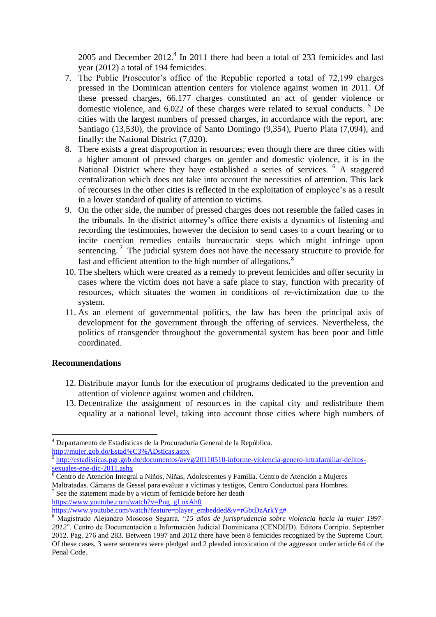2005 and December  $2012<sup>4</sup>$  In 2011 there had been a total of 233 femicides and last year (2012) a total of 194 femicides.

- 7. The Public Prosecutor's office of the Republic reported a total of 72,199 charges pressed in the Dominican attention centers for violence against women in 2011. Of these pressed charges, 66.177 charges constituted an act of gender violence or domestic violence, and 6,022 of these charges were related to sexual conducts.<sup>5</sup> De cities with the largest numbers of pressed charges, in accordance with the report, are: Santiago (13,530), the province of Santo Domingo (9,354), Puerto Plata (7,094), and finally: the National District (7,020).
- 8. There exists a great disproportion in resources; even though there are three cities with a higher amount of pressed charges on gender and domestic violence, it is in the National District where they have established a series of services. <sup>6</sup> A staggered centralization which does not take into account the necessities of attention. This lack of recourses in the other cities is reflected in the exploitation of employee's as a result in a lower standard of quality of attention to victims.
- 9. On the other side, the number of pressed charges does not resemble the failed cases in the tribunals. In the district attorney's office there exists a dynamics of listening and recording the testimonies, however the decision to send cases to a court hearing or to incite coercion remedies entails bureaucratic steps which might infringe upon sentencing.<sup>7</sup> The judicial system does not have the necessary structure to provide for fast and efficient attention to the high number of allegations.<sup>8</sup>
- 10. The shelters which were created as a remedy to prevent femicides and offer security in cases where the victim does not have a safe place to stay, function with precarity of resources, which situates the women in conditions of re-victimization due to the system.
- 11. As an element of governmental politics, the law has been the principal axis of development for the government through the offering of services. Nevertheless, the politics of transgender throughout the governmental system has been poor and little coordinated.

#### **Recommendations**

1

- 12. Distribute mayor funds for the execution of programs dedicated to the prevention and attention of violence against women and children.
- 13. Decentralize the assignment of resources in the capital city and redistribute them equality at a national level, taking into account those cities where high numbers of

<http://mujer.gob.do/Estad%C3%ADsticas.aspx>

 $7$  See the statement made by a victim of femicide before her death

[https://www.youtube.com/watch?v=Pug\\_gLoxAh0](https://www.youtube.com/watch?v=Pug_gLoxAh0) 

<sup>&</sup>lt;sup>4</sup> Departamento de Estadísticas de la Procuraduría General de la República.

<sup>5</sup> [http://estadisticas.pgr.gob.do/documentos/avvg/20110510-informe-violencia-genero-intrafamiliar-delitos](http://estadisticas.pgr.gob.do/documentos/avvg/20110510-informe-violencia-genero-intrafamiliar-delitos-sexuales-ene-dic-2011.ashx)[sexuales-ene-dic-2011.ashx](http://estadisticas.pgr.gob.do/documentos/avvg/20110510-informe-violencia-genero-intrafamiliar-delitos-sexuales-ene-dic-2011.ashx)

<sup>6</sup> Centro de Atención Integral a Niños, Niñas, Adolescentes y Familia. Centro de Atención a Mujeres Maltratadas. Cámaras de Gessel para evaluar a víctimas y testigos, Centro Conductual para Hombres.

[https://www.youtube.com/watch?feature=player\\_embedded&v=rGbtDzArkYg#](https://www.youtube.com/watch?feature=player_embedded&v=rGbtDzArkYg)

<sup>8</sup> Magistrado Alejandro Moscoso Segarra. "*15 años de jurisprudencia sobre violencia hacia la mujer 1997- 2012*". Centro de Documentación e Información Judicial Dominicana (CENDIJD). Editora Corripio. September 2012. Pag. 276 and 283. Between 1997 and 2012 there have been 8 femicides recognized by the Supreme Court. Of these cases, 3 were sentences were pledged and 2 pleaded intoxication of the aggressor under article 64 of the Penal Code.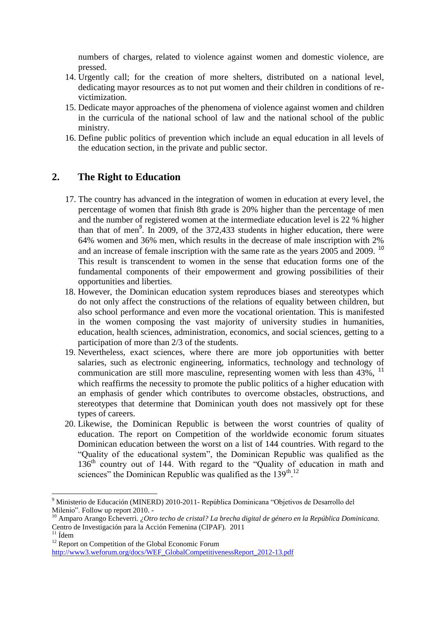numbers of charges, related to violence against women and domestic violence, are pressed.

- 14. Urgently call; for the creation of more shelters, distributed on a national level, dedicating mayor resources as to not put women and their children in conditions of revictimization.
- 15. Dedicate mayor approaches of the phenomena of violence against women and children in the curricula of the national school of law and the national school of the public ministry.
- 16. Define public politics of prevention which include an equal education in all levels of the education section, in the private and public sector.

## **2. The Right to Education**

- 17. The country has advanced in the integration of women in education at every level, the percentage of women that finish 8th grade is 20% higher than the percentage of men and the number of registered women at the intermediate education level is 22 % higher than that of men<sup>9</sup>. In 2009, of the 372,433 students in higher education, there were 64% women and 36% men, which results in the decrease of male inscription with 2% and an increase of female inscription with the same rate as the years 2005 and 2009.<sup>10</sup> This result is transcendent to women in the sense that education forms one of the fundamental components of their empowerment and growing possibilities of their opportunities and liberties.
- 18. However, the Dominican education system reproduces biases and stereotypes which do not only affect the constructions of the relations of equality between children, but also school performance and even more the vocational orientation. This is manifested in the women composing the vast majority of university studies in humanities, education, health sciences, administration, economics, and social sciences, getting to a participation of more than 2/3 of the students.
- 19. Nevertheless, exact sciences, where there are more job opportunities with better salaries, such as electronic engineering, informatics, technology and technology of communication are still more masculine, representing women with less than  $43\%$ ,  $^{11}$ which reaffirms the necessity to promote the public politics of a higher education with an emphasis of gender which contributes to overcome obstacles, obstructions, and stereotypes that determine that Dominican youth does not massively opt for these types of careers.
- 20. Likewise, the Dominican Republic is between the worst countries of quality of education. The report on Competition of the worldwide economic forum situates Dominican education between the worst on a list of 144 countries. With regard to the "Quality of the educational system", the Dominican Republic was qualified as the 136<sup>th</sup> country out of 144. With regard to the "Quality of education in math and sciences" the Dominican Republic was qualified as the  $139<sup>th,12</sup>$

1

<sup>&</sup>lt;sup>9</sup> Ministerio de Educación (MINERD) 2010-2011- República Dominicana "Objetivos de Desarrollo del Milenio". Follow up report 2010. -

<sup>&</sup>lt;sup>10</sup> Amparo Arango Echeverri. *¿Otro techo de cristal? La brecha digital de género en la República Dominicana.* Centro de Investigación para la Acción Femenina (CIPAF). 2011

 $11$  Ídem

<sup>&</sup>lt;sup>12</sup> Report on Competition of the Global Economic Forum

[http://www3.weforum.org/docs/WEF\\_GlobalCompetitivenessReport\\_2012-13.pdf](http://www3.weforum.org/docs/WEF_GlobalCompetitivenessReport_2012-13.pdf)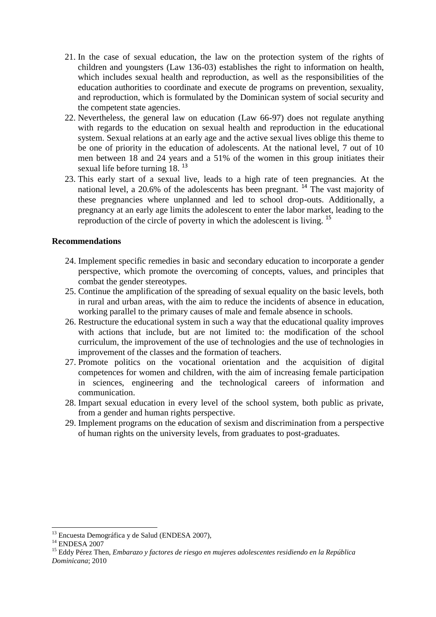- 21. In the case of sexual education, the law on the protection system of the rights of children and youngsters (Law 136-03) establishes the right to information on health, which includes sexual health and reproduction, as well as the responsibilities of the education authorities to coordinate and execute de programs on prevention, sexuality, and reproduction, which is formulated by the Dominican system of social security and the competent state agencies.
- 22. Nevertheless, the general law on education (Law 66-97) does not regulate anything with regards to the education on sexual health and reproduction in the educational system. Sexual relations at an early age and the active sexual lives oblige this theme to be one of priority in the education of adolescents. At the national level, 7 out of 10 men between 18 and 24 years and a 51% of the women in this group initiates their sexual life before turning 18.<sup>13</sup>
- 23. This early start of a sexual live, leads to a high rate of teen pregnancies. At the national level, a 20.6% of the adolescents has been pregnant. <sup>14</sup> The vast majority of these pregnancies where unplanned and led to school drop-outs. Additionally, a pregnancy at an early age limits the adolescent to enter the labor market, leading to the reproduction of the circle of poverty in which the adolescent is living.<sup>15</sup>

#### **Recommendations**

- 24. Implement specific remedies in basic and secondary education to incorporate a gender perspective, which promote the overcoming of concepts, values, and principles that combat the gender stereotypes.
- 25. Continue the amplification of the spreading of sexual equality on the basic levels, both in rural and urban areas, with the aim to reduce the incidents of absence in education, working parallel to the primary causes of male and female absence in schools.
- 26. Restructure the educational system in such a way that the educational quality improves with actions that include, but are not limited to: the modification of the school curriculum, the improvement of the use of technologies and the use of technologies in improvement of the classes and the formation of teachers.
- 27. Promote politics on the vocational orientation and the acquisition of digital competences for women and children, with the aim of increasing female participation in sciences, engineering and the technological careers of information and communication.
- 28. Impart sexual education in every level of the school system, both public as private, from a gender and human rights perspective.
- 29. Implement programs on the education of sexism and discrimination from a perspective of human rights on the university levels, from graduates to post-graduates.

.

<sup>&</sup>lt;sup>13</sup> Encuesta Demográfica y de Salud (ENDESA 2007),

 $^\mathrm{14}$ ENDESA 2007

<sup>15</sup> Eddy Pérez Then, *Embarazo y factores de riesgo en mujeres adolescentes residiendo en la República Dominicana*; 2010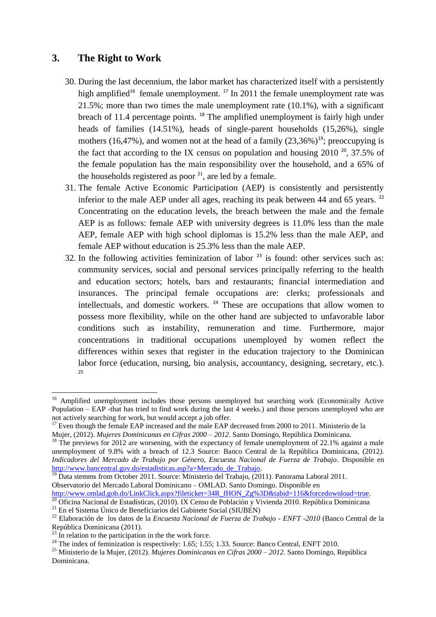### **3. The Right to Work**

- 30. During the last decennium, the labor market has characterized itself with a persistently high amplified<sup>16</sup> female unemployment.<sup>17</sup> In 2011 the female unemployment rate was 21.5%; more than two times the male unemployment rate (10.1%), with a significant breach of 11.4 percentage points. <sup>18</sup> The amplified unemployment is fairly high under heads of families (14.51%), heads of single-parent households (15,26%), single mothers (16,47%), and women not at the head of a family  $(23,36\%)^{19}$ ; preoccupying is the fact that according to the IX census on population and housing  $2010^{-20}$ , 37.5% of the female population has the main responsibility over the household, and a 65% of the households registered as poor  $^{21}$ , are led by a female.
- 31. The female Active Economic Participation (AEP) is consistently and persistently inferior to the male AEP under all ages, reaching its peak between 44 and 65 years. <sup>22</sup> Concentrating on the education levels, the breach between the male and the female AEP is as follows: female AEP with university degrees is 11.0% less than the male AEP, female AEP with high school diplomas is 15.2% less than the male AEP, and female AEP without education is 25.3% less than the male AEP.
- 32. In the following activities feminization of labor  $2<sup>3</sup>$  is found: other services such as: community services, social and personal services principally referring to the health and education sectors; hotels, bars and restaurants; financial intermediation and insurances. The principal female occupations are: clerks; professionals and intellectuals, and domestic workers. <sup>24</sup> These are occupations that allow women to possess more flexibility, while on the other hand are subjected to unfavorable labor conditions such as instability, remuneration and time. Furthermore, major concentrations in traditional occupations unemployed by women reflect the differences within sexes that register in the education trajectory to the Dominican labor force (education, nursing, bio analysis, accountancy, designing, secretary, etc.). 25

[http://www.omlad.gob.do/LinkClick.aspx?fileticket=34R\\_fHON\\_Zg%3D&tabid=116&forcedownload=true.](http://www.omlad.gob.do/LinkClick.aspx?fileticket=34R_fHON_Zg%3D&tabid=116&forcedownload=true)

.

<sup>&</sup>lt;sup>16</sup> Amplified unemployment includes those persons unemployed but searching work (Economically Active Population – EAP -that has tried to find work during the last 4 weeks.) and those persons unemployed who are not actively searching for work, but would accept a job offer.

 $17$  Even though the female EAP increased and the male EAP decreased from 2000 to 2011. Ministerio de la Mujer, (2012). *Mujeres Dominicanas en Cifras 2000 – 2012*. Santo Domingo, República Dominicana.

 $18$  The previews for 2012 are worsening, with the expectancy of female unemployment of 22.1% against a male unemployment of 9.8% with a breach of 12.3 Source: Banco Central de la República Dominicana, (2012*). Indicadores del Mercado de Trabajo por Género, Encuesta Nacional de Fuerza de Trabajo*. Disponible en [http://www.bancentral.gov.do/estadisticas.asp?a=Mercado\\_de\\_Trabajo.](http://www.bancentral.gov.do/estadisticas.asp?a=Mercado_de_Trabajo) 

<sup>&</sup>lt;sup>19</sup> Data stemms from October 2011. Source: Ministerio del Trabajo, (2011). Panorama Laboral 2011. Observatorio del Mercado Laboral Dominicano – OMLAD. Santo Domingo. Disponible en

 $\frac{20}{20}$ Oficina Nacional de Estadísticas, (2010). IX Censo de Población y Vivienda 2010. República Dominicana <sup>21</sup> En el Sistema Único de Beneficiarios del Gabinete Social (SIUBEN)

<sup>22</sup> Elaboración de los datos de la *Encuesta Nacional de Fuerza de Trabajo - ENFT -2010* (Banco Central de la República Dominicana (2011).

 $^{23}$  In relation to the participation in the the work force.

<sup>&</sup>lt;sup>24</sup> The index of feminization is respectively: 1.65; 1.55; 1.33. Source: Banco Central, ENFT 2010.

<sup>25</sup> Ministerio de la Mujer, (2012). *Mujeres Dominicanas en Cifras 2000 – 2012*. Santo Domingo, República Dominicana.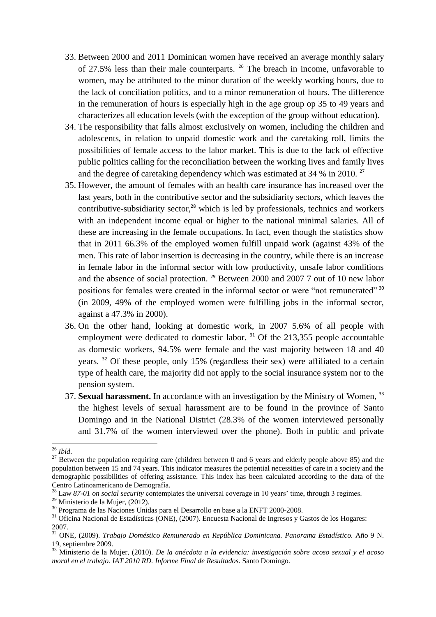- 33. Between 2000 and 2011 Dominican women have received an average monthly salary of 27.5% less than their male counterparts. <sup>26</sup> The breach in income, unfavorable to women, may be attributed to the minor duration of the weekly working hours, due to the lack of conciliation politics, and to a minor remuneration of hours. The difference in the remuneration of hours is especially high in the age group op 35 to 49 years and characterizes all education levels (with the exception of the group without education).
- 34. The responsibility that falls almost exclusively on women, including the children and adolescents, in relation to unpaid domestic work and the caretaking roll, limits the possibilities of female access to the labor market. This is due to the lack of effective public politics calling for the reconciliation between the working lives and family lives and the degree of caretaking dependency which was estimated at  $34\%$  in 2010.<sup>27</sup>
- 35. However, the amount of females with an health care insurance has increased over the last years, both in the contributive sector and the subsidiarity sectors, which leaves the contributive-subsidiarity sector, $^{28}$  which is led by professionals, technics and workers with an independent income equal or higher to the national minimal salaries. All of these are increasing in the female occupations. In fact, even though the statistics show that in 2011 66.3% of the employed women fulfill unpaid work (against 43% of the men. This rate of labor insertion is decreasing in the country, while there is an increase in female labor in the informal sector with low productivity, unsafe labor conditions and the absence of social protection.  $29$  Between 2000 and 2007 7 out of 10 new labor positions for females were created in the informal sector or were "not remunerated" 30 (in 2009, 49% of the employed women were fulfilling jobs in the informal sector, against a 47.3% in 2000).
- 36. On the other hand, looking at domestic work, in 2007 5.6% of all people with employment were dedicated to domestic labor.<sup>31</sup> Of the 213,355 people accountable as domestic workers, 94.5% were female and the vast majority between 18 and 40 years. <sup>32</sup> Of these people, only 15% (regardless their sex) were affiliated to a certain type of health care, the majority did not apply to the social insurance system nor to the pension system.
- 37. **Sexual harassment.** In accordance with an investigation by the Ministry of Women, 33 the highest levels of sexual harassment are to be found in the province of Santo Domingo and in the National District (28.3% of the women interviewed personally and 31.7% of the women interviewed over the phone). Both in public and private

1

<sup>26</sup> *Ibíd*.

<sup>&</sup>lt;sup>27</sup> Between the population requiring care (children between 0 and 6 years and elderly people above 85) and the population between 15 and 74 years. This indicator measures the potential necessities of care in a society and the demographic possibilities of offering assistance. This index has been calculated according to the data of the Centro Latinoamericano de Demografía.

<sup>&</sup>lt;sup>28</sup> Law 87-01 on social security contemplates the universal coverage in 10 years' time, through 3 regimes.

<sup>&</sup>lt;sup>29</sup> Ministerio de la Mujer, (2012).

<sup>30</sup> Programa de las Naciones Unidas para el Desarrollo en base a la ENFT 2000-2008.

<sup>&</sup>lt;sup>31</sup> Oficina Nacional de Estadísticas (ONE), (2007). Encuesta Nacional de Ingresos y Gastos de los Hogares: 2007.

<sup>32</sup> ONE, (2009). *Trabajo Doméstico Remunerado en República Dominicana. Panorama Estadístico.* Año 9 N. 19, septiembre 2009.

<sup>33</sup> Ministerio de la Mujer, (2010). *De la anécdota a la evidencia: investigación sobre acoso sexual y el acoso moral en el trabajo. IAT 2010 RD. Informe Final de Resultados*. Santo Domingo.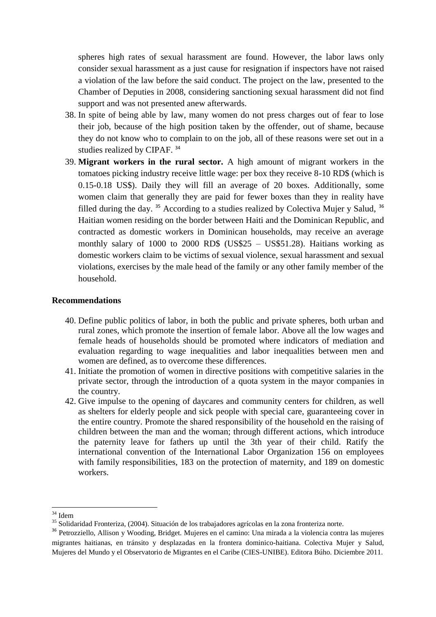spheres high rates of sexual harassment are found. However, the labor laws only consider sexual harassment as a just cause for resignation if inspectors have not raised a violation of the law before the said conduct. The project on the law, presented to the Chamber of Deputies in 2008, considering sanctioning sexual harassment did not find support and was not presented anew afterwards.

- 38. In spite of being able by law, many women do not press charges out of fear to lose their job, because of the high position taken by the offender, out of shame, because they do not know who to complain to on the job, all of these reasons were set out in a studies realized by CIPAF.<sup>34</sup>
- 39. **Migrant workers in the rural sector.** A high amount of migrant workers in the tomatoes picking industry receive little wage: per box they receive 8-10 RD\$ (which is 0.15-0.18 US\$). Daily they will fill an average of 20 boxes. Additionally, some women claim that generally they are paid for fewer boxes than they in reality have filled during the day.  $35$  According to a studies realized by Colectiva Mujer y Salud,  $36$ Haitian women residing on the border between Haiti and the Dominican Republic, and contracted as domestic workers in Dominican households, may receive an average monthly salary of 1000 to 2000 RD\$ (US\$25 – US\$51.28). Haitians working as domestic workers claim to be victims of sexual violence, sexual harassment and sexual violations, exercises by the male head of the family or any other family member of the household.

#### **Recommendations**

- 40. Define public politics of labor, in both the public and private spheres, both urban and rural zones, which promote the insertion of female labor. Above all the low wages and female heads of households should be promoted where indicators of mediation and evaluation regarding to wage inequalities and labor inequalities between men and women are defined, as to overcome these differences.
- 41. Initiate the promotion of women in directive positions with competitive salaries in the private sector, through the introduction of a quota system in the mayor companies in the country.
- 42. Give impulse to the opening of daycares and community centers for children, as well as shelters for elderly people and sick people with special care, guaranteeing cover in the entire country. Promote the shared responsibility of the household en the raising of children between the man and the woman; through different actions, which introduce the paternity leave for fathers up until the 3th year of their child. Ratify the international convention of the International Labor Organization 156 on employees with family responsibilities, 183 on the protection of maternity, and 189 on domestic workers.

<sup>.</sup> <sup>34</sup> Idem

<sup>35</sup> Solidaridad Fronteriza, (2004). Situación de los trabajadores agrícolas en la zona fronteriza norte.

<sup>36</sup> Petrozziello, Allison y Wooding, Bridget. Mujeres en el camino: Una mirada a la violencia contra las mujeres migrantes haitianas, en tránsito y desplazadas en la frontera dominico-haitiana. Colectiva Mujer y Salud, Mujeres del Mundo y el Observatorio de Migrantes en el Caribe (CIES-UNIBE). Editora Búho. Diciembre 2011.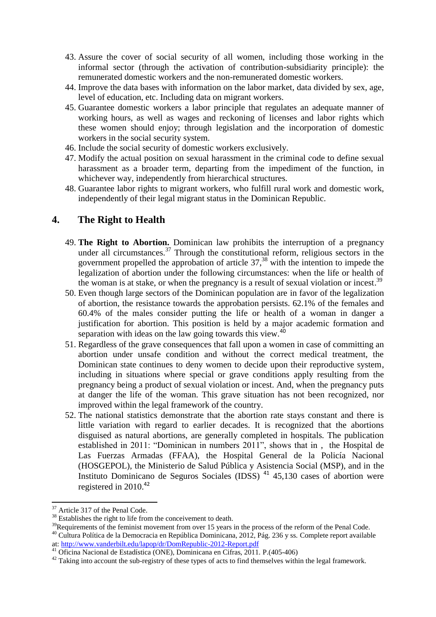- 43. Assure the cover of social security of all women, including those working in the informal sector (through the activation of contribution-subsidiarity principle): the remunerated domestic workers and the non-remunerated domestic workers.
- 44. Improve the data bases with information on the labor market, data divided by sex, age, level of education, etc. Including data on migrant workers.
- 45. Guarantee domestic workers a labor principle that regulates an adequate manner of working hours, as well as wages and reckoning of licenses and labor rights which these women should enjoy; through legislation and the incorporation of domestic workers in the social security system.
- 46. Include the social security of domestic workers exclusively.
- 47. Modify the actual position on sexual harassment in the criminal code to define sexual harassment as a broader term, departing from the impediment of the function, in whichever way, independently from hierarchical structures.
- 48. Guarantee labor rights to migrant workers, who fulfill rural work and domestic work, independently of their legal migrant status in the Dominican Republic.

## **4. The Right to Health**

- 49. **The Right to Abortion.** Dominican law prohibits the interruption of a pregnancy under all circumstances.<sup>37</sup> Through the constitutional reform, religious sectors in the government propelled the approbation of article  $37<sup>38</sup>$  with the intention to impede the legalization of abortion under the following circumstances: when the life or health of the woman is at stake, or when the pregnancy is a result of sexual violation or incest.<sup>39</sup>
- 50. Even though large sectors of the Dominican population are in favor of the legalization of abortion, the resistance towards the approbation persists. 62.1% of the females and 60.4% of the males consider putting the life or health of a woman in danger a justification for abortion. This position is held by a major academic formation and separation with ideas on the law going towards this view.<sup>40</sup>
- 51. Regardless of the grave consequences that fall upon a women in case of committing an abortion under unsafe condition and without the correct medical treatment, the Dominican state continues to deny women to decide upon their reproductive system, including in situations where special or grave conditions apply resulting from the pregnancy being a product of sexual violation or incest. And, when the pregnancy puts at danger the life of the woman. This grave situation has not been recognized, nor improved within the legal framework of the country.
- 52. The national statistics demonstrate that the abortion rate stays constant and there is little variation with regard to earlier decades. It is recognized that the abortions disguised as natural abortions, are generally completed in hospitals. The publication established in 2011: "Dominican in numbers 2011", shows that in , the Hospital de Las Fuerzas Armadas (FFAA), the Hospital General de la Policía Nacional (HOSGEPOL), the Ministerio de Salud Pública y Asistencia Social (MSP), and in the Instituto Dominicano de Seguros Sociales (IDSS)  $41$  45,130 cases of abortion were registered in  $2010^{42}$

<sup>.</sup> <sup>37</sup> Article 317 of the Penal Code.

<sup>&</sup>lt;sup>38</sup> Establishes the right to life from the conceivement to death.

<sup>&</sup>lt;sup>39</sup>Requirements of the feminist movement from over 15 years in the process of the reform of the Penal Code.

<sup>&</sup>lt;sup>40</sup> Cultura Política de la Democracia en República Dominicana, 2012, Pág. 236 y ss. Complete report available at:<http://www.vanderbilt.edu/lapop/dr/DomRepublic-2012-Report.pdf>

<sup>41</sup> Oficina Nacional de Estadística (ONE), Dominicana en Cifras, 2011. P.(405-406)

 $42$  Taking into account the sub-registry of these types of acts to find themselves within the legal framework.